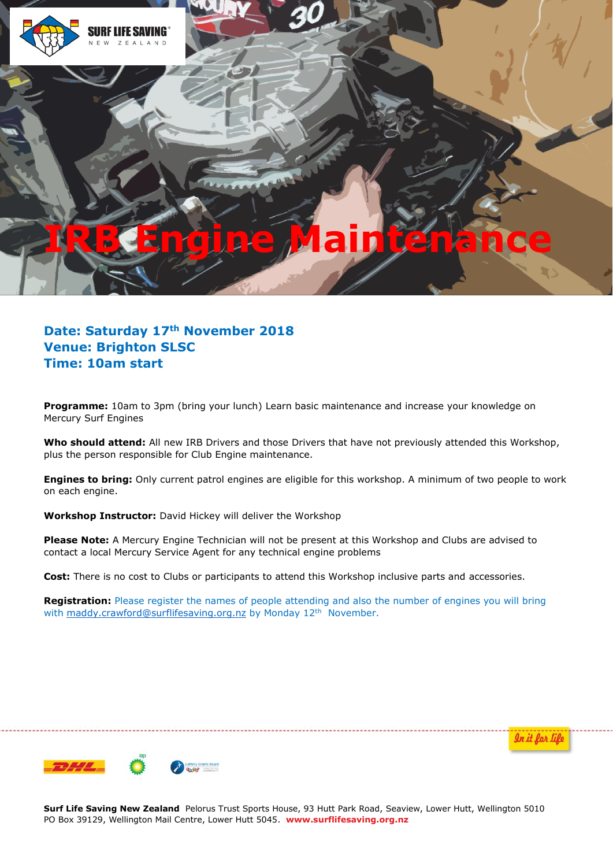

## **IRB Engine Maintenance**

**Date: Saturday 17th November 2018 Venue: Brighton SLSC Time: 10am start**

**Programme:** 10am to 3pm (bring your lunch) Learn basic maintenance and increase your knowledge on Mercury Surf Engines

Who should attend: All new IRB Drivers and those Drivers that have not previously attended this Workshop, plus the person responsible for Club Engine maintenance.

**Engines to bring:** Only current patrol engines are eligible for this workshop. A minimum of two people to work on each engine.

**Workshop Instructor:** David Hickey will deliver the Workshop

**Please Note:** A Mercury Engine Technician will not be present at this Workshop and Clubs are advised to contact a local Mercury Service Agent for any technical engine problems

**Cost:** There is no cost to Clubs or participants to attend this Workshop inclusive parts and accessories.

**Registration:** Please register the names of people attending and also the number of engines you will bring with [maddy.crawford@surflifesaving.org.nz](mailto:maddy.crawford@surflifesaving.org.nz) by Monday 12<sup>th</sup> November.

In it for life



**Surf Life Saving New Zealand** Pelorus Trust Sports House, 93 Hutt Park Road, Seaview, Lower Hutt, Wellington 5010 PO Box 39129, Wellington Mail Centre, Lower Hutt 5045. **www.surflifesaving.org.nz**

---------------------------